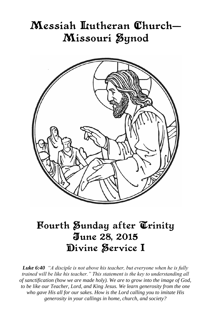# Messiah Itutheran Church– Missouri Øynod



# Fourth Sunday after Trinity June 28, 2015 Divine Service I

*Luke 6:40 "A disciple is not above his teacher, but everyone when he is fully trained will be like his teacher." This statement is the key to understanding all of sanctification (how we are made holy). We are to grow into the image of God, to be like our Teacher, Lord, and King Jesus. We learn generosity from the one who gave His all for our sakes. How is the Lord calling you to imitate His generosity in your callings in home, church, and society?*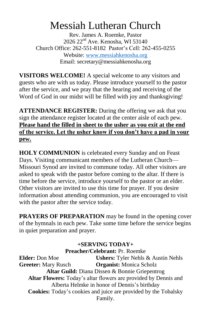# Messiah Lutheran Church

Rev. James A. Roemke, Pastor 2026 22nd Ave. Kenosha, WI 53140 Church Office: 262-551-8182 Pastor's Cell: 262-455-0255 Website: [www.messiahkenosha.org](http://www.messiahkenosha.org/) Email: secretary@messiahkenosha.org

**VISITORS WELCOME!** A special welcome to any visitors and guests who are with us today. Please introduce yourself to the pastor after the service, and we pray that the hearing and receiving of the Word of God in our midst will be filled with joy and thanksgiving!

**ATTENDANCE REGISTER:** During the offering we ask that you sign the attendance register located at the center aisle of each pew. **Please hand the filled in sheet to the usher as you exit at the end of the service. Let the usher know if you don't have a pad in your pew.**

**HOLY COMMUNION** is celebrated every Sunday and on Feast Days. Visiting communicant members of the Lutheran Church— Missouri Synod are invited to commune today. All other visitors are asked to speak with the pastor before coming to the altar. If there is time before the service, introduce yourself to the pastor or an elder. Other visitors are invited to use this time for prayer. If you desire information about attending communion, you are encouraged to visit with the pastor after the service today.

**PRAYERS OF PREPARATION** may be found in the opening cover of the hymnals in each pew. Take some time before the service begins in quiet preparation and prayer.

# **+SERVING TODAY+**

**Preacher/Celebrant:** Pr. Roemke **Elder:** Don Moe **Ushers:** Tyler Nehls & Austin Nehls **Greeter:** Mary Rusch **Organist:** Monica Scholz **Altar Guild:** Diana Dissen & Bonnie Griepentrog **Altar Flowers:** Today's altar flowers are provided by Dennis and Alberta Helmke in honor of Dennis's birthday **Cookies:** Today's cookies and juice are provided by the Tobalsky Family.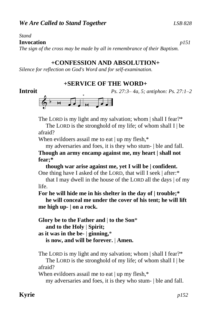*Stand*

#### **Invocation** *p151*

*The sign of the cross may be made by all in remembrance of their Baptism.*

# **+CONFESSION AND ABSOLUTION+**

*Silence for reflection on God's Word and for self-examination.*

## **+SERVICE OF THE WORD+**

**Introit** *Ps. 27:3– 4a, 5; antiphon: Ps. 27:1–2*





The LORD is my light and my salvation; whom | shall I fear?\*

The LORD is the stronghold of my life; of whom shall  $I \mid be$ afraid?

When evildoers assail me to eat | up my flesh,\*

 my adversaries and foes, it is they who stum- | ble and fall. **Though an army encamp against me, my heart | shall not fear;\***

 **though war arise against me, yet I will be | confident.** One thing have I asked of the LORD, that will I seek | after:\*

 that I may dwell in the house of the LORD all the days | of my life.

**For he will hide me in his shelter in the day of | trouble;\***

 **he will conceal me under the cover of his tent; he will lift me high up- | on a rock.**

**Glory be to the Father and** | **to the Son**\*  **and to the Holy** | **Spirit; as it was in the be-** | **ginning,**\*  **is now, and will be forever.** | **Amen.**

The LORD is my light and my salvation; whom | shall I fear?\*

The LORD is the stronghold of my life; of whom shall  $I \mid be$ afraid?

When evildoers assail me to eat | up my flesh,\*

my adversaries and foes, it is they who stum- | ble and fall.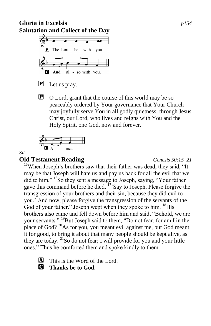# **Gloria in Excelsis** *p154* **Salutation and Collect of the Day**



P Let us pray.

P O Lord, grant that the course of this world may be so peaceably ordered by Your governance that Your Church may joyfully serve You in all godly quietness; through Jesus Christ, our Lord, who lives and reigns with You and the Holy Spirit, one God, now and forever.

$$
\bigcirc_{\mathbf{G}}^{b} \qquad \qquad \bullet \qquad \qquad
$$

*Sit*

# **Old Testament Reading** *Genesis 50:15–21*

<sup>15</sup>When Joseph's brothers saw that their father was dead, they said, "It may be that Joseph will hate us and pay us back for all the evil that we did to him." <sup>16</sup>So they sent a message to Joseph, saying, "Your father gave this command before he died, <sup>17</sup>'Say to Joseph, Please forgive the transgression of your brothers and their sin, because they did evil to you.' And now, please forgive the transgression of the servants of the God of your father." Joseph wept when they spoke to him. <sup>18</sup>His brothers also came and fell down before him and said, "Behold, we are your servants." <sup>19</sup>But Joseph said to them, "Do not fear, for am I in the place of God?  $20$ As for you, you meant evil against me, but God meant it for good, to bring it about that many people should be kept alive, as they are today. <sup>21</sup>So do not fear; I will provide for you and your little ones." Thus he comforted them and spoke kindly to them.

 $\overline{A}$  This is the Word of the Lord.

# C **Thanks be to God.**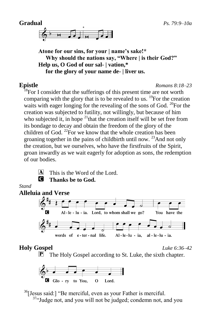

**Atone for our sins, for your | name's sake!\* Why should the nations say, "Where | is their God?" Help us, O God of our sal- | vation,\* for the glory of your name de- | liver us.**

**Epistle** *Romans 8:18–23*

<sup>18</sup>For I consider that the sufferings of this present time are not worth comparing with the glory that is to be revealed to us.  $^{19}$ For the creation waits with eager longing for the revealing of the sons of God. <sup>20</sup>For the creation was subjected to futility, not willingly, but because of him who subjected it, in hope  $21$ <sup>that the creation itself will be set free from</sup> its bondage to decay and obtain the freedom of the glory of the children of God.  $^{22}$ For we know that the whole creation has been groaning together in the pains of childbirth until now.  $^{23}$  And not only the creation, but we ourselves, who have the firstfruits of the Spirit, groan inwardly as we wait eagerly for adoption as sons, the redemption of our bodies.



 $[A]$  This is the Word of the Lord. C **Thanks be to God.**

#### *Stand*



# **Holy Gospel** *Luke 6:36–42*

 $\overline{P}$  The Holy Gospel according to St. Luke, the sixth chapter.



<sup>36</sup>[Jesus said:] "Be merciful, even as your Father is merciful.

 $37\degree$  Judge not, and you will not be judged; condemn not, and you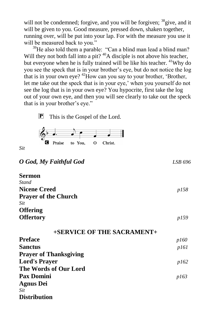will not be condemned; forgive, and you will be forgiven;  $38$  give, and it will be given to you. Good measure, pressed down, shaken together, running over, will be put into your lap. For with the measure you use it will be measured back to you."

<sup>39</sup>He also told them a parable: "Can a blind man lead a blind man? Will they not both fall into a pit? <sup>40</sup>A disciple is not above his teacher, but everyone when he is fully trained will be like his teacher. <sup>41</sup>Why do you see the speck that is in your brother's eye, but do not notice the log that is in your own eye?  $42$ How can you say to your brother, 'Brother, let me take out the speck that is in your eye,' when you yourself do not see the log that is in your own eye? You hypocrite, first take the log out of your own eye, and then you will see clearly to take out the speck that is in your brother's eye."

P This is the Gospel of the Lord.



*Sit*

## *O God, My Faithful God LSB 696*

| <i>p158</i> |
|-------------|
|             |
|             |
|             |
| p159        |
|             |

| +SERVICE OF THE SACRAMENT+    |      |
|-------------------------------|------|
| Preface                       | p160 |
| Sanctus                       | p161 |
| <b>Prayer of Thanksgiving</b> |      |
| <b>Lord's Prayer</b>          | p162 |
| The Words of Our Lord         |      |
| <b>Pax Domini</b>             | p163 |
| Agnus Dei                     |      |
| Sit                           |      |
| Distribution                  |      |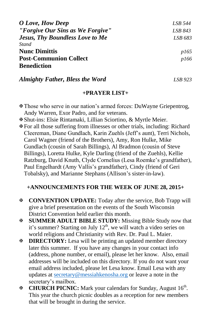| O Love, How Deep                       | LSB 544     |
|----------------------------------------|-------------|
| "Forgive Our Sins as We Forgive"       | LSB 843     |
| <b>Jesus, Thy Boundless Love to Me</b> | LSB 683     |
| <b>Stand</b>                           |             |
| <b>Nunc Dimittis</b>                   | <i>p165</i> |
| <b>Post-Communion Collect</b>          | <i>p166</i> |
| <b>Benediction</b>                     |             |

### *Almighty Father, Bless the Word LSB 923*

#### **+PRAYER LIST+**

- Those who serve in our nation's armed forces: DuWayne Griepentrog, Andy Warren, Exor Padro, and for veterans.
- Shut-ins: Elsie Rintamaki, Lillian Sciortino, & Myrtle Meier.
- For all those suffering from illnesses or other trials, including: Richard Cleereman, Diane Gundlach, Karin Zuehls (Jeff's aunt), Terri Nichols, Carol Wagner (friend of the Brothers), Amy, Ron Hulke, Mike Gundlach (cousin of Sarah Billings), Al Bradmon (cousin of Steve Billings), Loretta Hulke, Kyle Darling (friend of the Zuehls), Kellie Ratzburg, David Knuth, Clyde Cornelius (Lesa Roemke's grandfather), Paul Engelhardt (Amy Vallis's grandfather), Cindy (friend of Geri Tobalsky), and Marianne Stephans (Allison's sister-in-law).

## **+ANNOUNCEMENTS FOR THE WEEK OF JUNE 28, 2015+**

- **CONVENTION UPDATE:** Today after the service, Bob Trapp will give a brief presentation on the events of the South Wisconsin District Convention held earlier this month.
- **SUMMER ADULT BIBLE STUDY:** Missing Bible Study now that it's summer? Starting on July  $12<sup>th</sup>$ , we will watch a video series on world religions and Christianity with Rev. Dr. Paul L. Maier.
- **EXECTORY:** Lesa will be printing an updated member directory later this summer. If you have any changes in your contact info (address, phone number, or email), please let her know. Also, email addresses will be included on this directory. If you do not want your email address included, please let Lesa know. Email Lesa with any updates at [secretary@messiahkenosha.org](mailto:secretary@messiahkenosha.org) or leave a note in the secretary's mailbox.
- **EXECUTE:** Mark your calendars for Sunday, August 16<sup>th</sup>. This year the church picnic doubles as a reception for new members that will be brought in during the service.